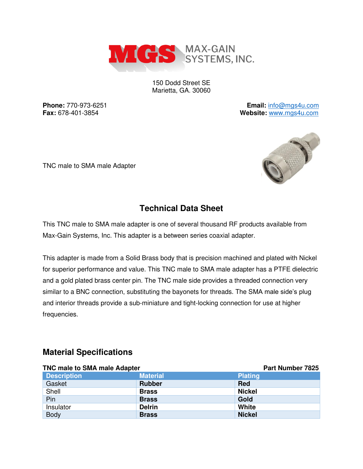

150 Dodd Street SE Marietta, GA. 30060

**Phone:** 770-973-6251 **Email:** [info@mgs4u.com](mailto:info@mgs4u.com) **Fax:** 678-401-3854 **Website:** [www.mgs4u.com](http://www.mgs4u.com/)





## **Technical Data Sheet**

This TNC male to SMA male adapter is one of several thousand RF products available from Max-Gain Systems, Inc. This adapter is a between series coaxial adapter.

This adapter is made from a Solid Brass body that is precision machined and plated with Nickel for superior performance and value. This TNC male to SMA male adapter has a PTFE dielectric and a gold plated brass center pin. The TNC male side provides a threaded connection very similar to a BNC connection, substituting the bayonets for threads. The SMA male side's plug and interior threads provide a sub-miniature and tight-locking connection for use at higher frequencies.

#### **Material Specifications**

| <b>TNC male to SMA male Adapter</b> |                 | <b>Part Number 7825</b> |
|-------------------------------------|-----------------|-------------------------|
| <b>Description</b>                  | <b>Material</b> | <b>Plating</b>          |
| Gasket                              | <b>Rubber</b>   | <b>Red</b>              |
| Shell                               | <b>Brass</b>    | <b>Nickel</b>           |
| Pin                                 | <b>Brass</b>    | Gold                    |
| Insulator                           | <b>Delrin</b>   | White                   |
| <b>Body</b>                         | <b>Brass</b>    | <b>Nickel</b>           |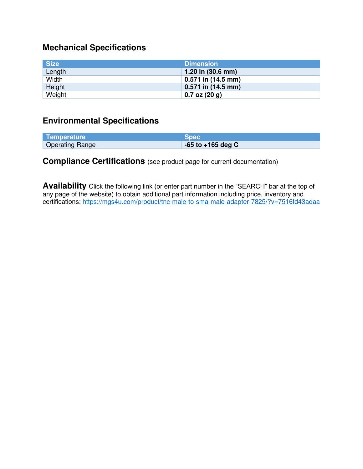# **Mechanical Specifications**

| <b>Size</b> | <b>Dimension</b>            |
|-------------|-----------------------------|
| Length      | 1.20 in $(30.6 \text{ mm})$ |
| Width       | $0.571$ in (14.5 mm)        |
| Height      | $0.571$ in (14.5 mm)        |
| Weight      | $0.7$ oz $(20 g)$           |

### **Environmental Specifications**

| <b>Temperature</b>     | <b>Spec</b>           |
|------------------------|-----------------------|
| <b>Operating Range</b> | $-65$ to $+165$ deg C |

### **Compliance Certifications** (see product page for current documentation)

**Availability** Click the following link (or enter part number in the "SEARCH" bar at the top of any page of the website) to obtain additional part information including price, inventory and certifications:<https://mgs4u.com/product/tnc-male-to-sma-male-adapter-7825/?v=7516fd43adaa>